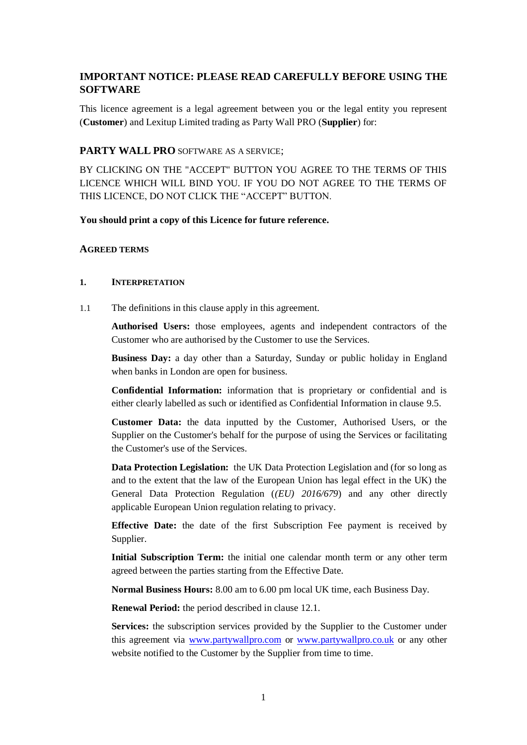# **IMPORTANT NOTICE: PLEASE READ CAREFULLY BEFORE USING THE SOFTWARE**

This licence agreement is a legal agreement between you or the legal entity you represent (**Customer**) and Lexitup Limited trading as Party Wall PRO (**Supplier**) for:

## **PARTY WALL PRO** SOFTWARE AS A SERVICE;

BY CLICKING ON THE "ACCEPT" BUTTON YOU AGREE TO THE TERMS OF THIS LICENCE WHICH WILL BIND YOU. IF YOU DO NOT AGREE TO THE TERMS OF THIS LICENCE, DO NOT CLICK THE "ACCEPT" BUTTON.

#### **You should print a copy of this Licence for future reference.**

#### **AGREED TERMS**

#### **1. INTERPRETATION**

1.1 The definitions in this clause apply in this agreement.

**Authorised Users:** those employees, agents and independent contractors of the Customer who are authorised by the Customer to use the Services.

**Business Day:** a day other than a Saturday, Sunday or public holiday in England when banks in London are open for business.

**Confidential Information:** information that is proprietary or confidential and is either clearly labelled as such or identified as Confidential Information in clause [9.5.](#page-7-0)

**Customer Data:** the data inputted by the Customer, Authorised Users, or the Supplier on the Customer's behalf for the purpose of using the Services or facilitating the Customer's use of the Services.

**Data Protection Legislation:** the UK Data Protection Legislation and (for so long as and to the extent that the law of the European Union has legal effect in the UK) the General Data Protection Regulation (*(EU) 2016/679*) and any other directly applicable European Union regulation relating to privacy.

**Effective Date:** the date of the first Subscription Fee payment is received by Supplier.

**Initial Subscription Term:** the initial one calendar month term or any other term agreed between the parties starting from the Effective Date.

**Normal Business Hours:** 8.00 am to 6.00 pm local UK time, each Business Day.

**Renewal Period:** the period described in clause [12.1.](#page-10-0)

**Services:** the subscription services provided by the Supplier to the Customer under this agreement via [www.partywallpro.com](http://www.partywallpro.com/) or [www.partywallpro.co.uk](http://www.partywallpro.co.uk/) or any other website notified to the Customer by the Supplier from time to time.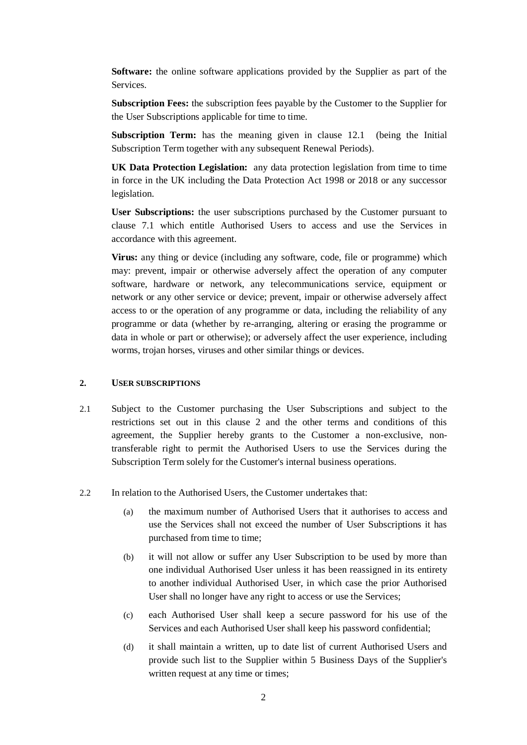**Software:** the online software applications provided by the Supplier as part of the Services.

**Subscription Fees:** the subscription fees payable by the Customer to the Supplier for the User Subscriptions applicable for time to time.

**Subscription Term:** has the meaning given in clause [12.1](#page-10-0) (being the Initial Subscription Term together with any subsequent Renewal Periods).

**UK Data Protection Legislation:** any data protection legislation from time to time in force in the UK including the Data Protection Act 1998 or 2018 or any successor legislation.

**User Subscriptions:** the user subscriptions purchased by the Customer pursuant to clause [7.1](#page-5-0) which entitle Authorised Users to access and use the Services in accordance with this agreement.

**Virus:** any thing or device (including any software, code, file or programme) which may: prevent, impair or otherwise adversely affect the operation of any computer software, hardware or network, any telecommunications service, equipment or network or any other service or device; prevent, impair or otherwise adversely affect access to or the operation of any programme or data, including the reliability of any programme or data (whether by re-arranging, altering or erasing the programme or data in whole or part or otherwise); or adversely affect the user experience, including worms, trojan horses, viruses and other similar things or devices.

## <span id="page-1-0"></span>**2. USER SUBSCRIPTIONS**

- 2.1 Subject to the Customer purchasing the User Subscriptions and subject to the restrictions set out in this clause [2](#page-1-0) and the other terms and conditions of this agreement, the Supplier hereby grants to the Customer a non-exclusive, nontransferable right to permit the Authorised Users to use the Services during the Subscription Term solely for the Customer's internal business operations.
- 2.2 In relation to the Authorised Users, the Customer undertakes that:
	- (a) the maximum number of Authorised Users that it authorises to access and use the Services shall not exceed the number of User Subscriptions it has purchased from time to time;
	- (b) it will not allow or suffer any User Subscription to be used by more than one individual Authorised User unless it has been reassigned in its entirety to another individual Authorised User, in which case the prior Authorised User shall no longer have any right to access or use the Services;
	- (c) each Authorised User shall keep a secure password for his use of the Services and each Authorised User shall keep his password confidential;
	- (d) it shall maintain a written, up to date list of current Authorised Users and provide such list to the Supplier within 5 Business Days of the Supplier's written request at any time or times;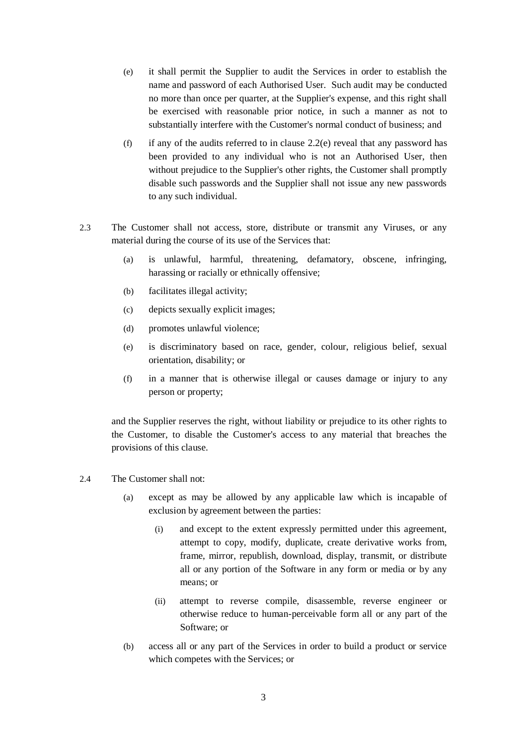- <span id="page-2-0"></span>(e) it shall permit the Supplier to audit the Services in order to establish the name and password of each Authorised User. Such audit may be conducted no more than once per quarter, at the Supplier's expense, and this right shall be exercised with reasonable prior notice, in such a manner as not to substantially interfere with the Customer's normal conduct of business; and
- (f) if any of the audits referred to in clause [2.2\(e\)](#page-2-0) reveal that any password has been provided to any individual who is not an Authorised User, then without prejudice to the Supplier's other rights, the Customer shall promptly disable such passwords and the Supplier shall not issue any new passwords to any such individual.
- 2.3 The Customer shall not access, store, distribute or transmit any Viruses, or any material during the course of its use of the Services that:
	- (a) is unlawful, harmful, threatening, defamatory, obscene, infringing, harassing or racially or ethnically offensive;
	- (b) facilitates illegal activity;
	- (c) depicts sexually explicit images;
	- (d) promotes unlawful violence;
	- (e) is discriminatory based on race, gender, colour, religious belief, sexual orientation, disability; or
	- (f) in a manner that is otherwise illegal or causes damage or injury to any person or property;

and the Supplier reserves the right, without liability or prejudice to its other rights to the Customer, to disable the Customer's access to any material that breaches the provisions of this clause.

- 2.4 The Customer shall not:
	- (a) except as may be allowed by any applicable law which is incapable of exclusion by agreement between the parties:
		- (i) and except to the extent expressly permitted under this agreement, attempt to copy, modify, duplicate, create derivative works from, frame, mirror, republish, download, display, transmit, or distribute all or any portion of the Software in any form or media or by any means; or
		- (ii) attempt to reverse compile, disassemble, reverse engineer or otherwise reduce to human-perceivable form all or any part of the Software; or
	- (b) access all or any part of the Services in order to build a product or service which competes with the Services; or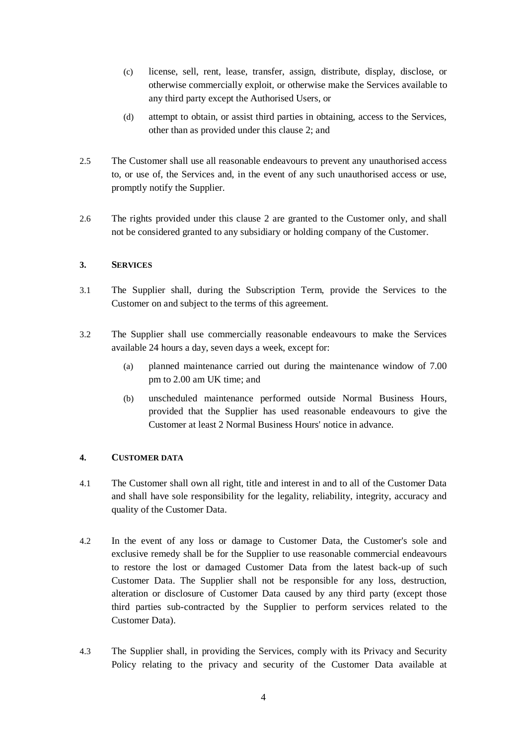- (c) license, sell, rent, lease, transfer, assign, distribute, display, disclose, or otherwise commercially exploit, or otherwise make the Services available to any third party except the Authorised Users, or
- (d) attempt to obtain, or assist third parties in obtaining, access to the Services, other than as provided under this clause [2;](#page-1-0) and
- 2.5 The Customer shall use all reasonable endeavours to prevent any unauthorised access to, or use of, the Services and, in the event of any such unauthorised access or use, promptly notify the Supplier.
- 2.6 The rights provided under this clause [2](#page-1-0) are granted to the Customer only, and shall not be considered granted to any subsidiary or holding company of the Customer.

# **3. SERVICES**

- 3.1 The Supplier shall, during the Subscription Term, provide the Services to the Customer on and subject to the terms of this agreement.
- 3.2 The Supplier shall use commercially reasonable endeavours to make the Services available 24 hours a day, seven days a week, except for:
	- (a) planned maintenance carried out during the maintenance window of 7.00 pm to 2.00 am UK time; and
	- (b) unscheduled maintenance performed outside Normal Business Hours, provided that the Supplier has used reasonable endeavours to give the Customer at least 2 Normal Business Hours' notice in advance.

# **4. CUSTOMER DATA**

- 4.1 The Customer shall own all right, title and interest in and to all of the Customer Data and shall have sole responsibility for the legality, reliability, integrity, accuracy and quality of the Customer Data.
- 4.2 In the event of any loss or damage to Customer Data, the Customer's sole and exclusive remedy shall be for the Supplier to use reasonable commercial endeavours to restore the lost or damaged Customer Data from the latest back-up of such Customer Data. The Supplier shall not be responsible for any loss, destruction, alteration or disclosure of Customer Data caused by any third party (except those third parties sub-contracted by the Supplier to perform services related to the Customer Data).
- 4.3 The Supplier shall, in providing the Services, comply with its Privacy and Security Policy relating to the privacy and security of the Customer Data available at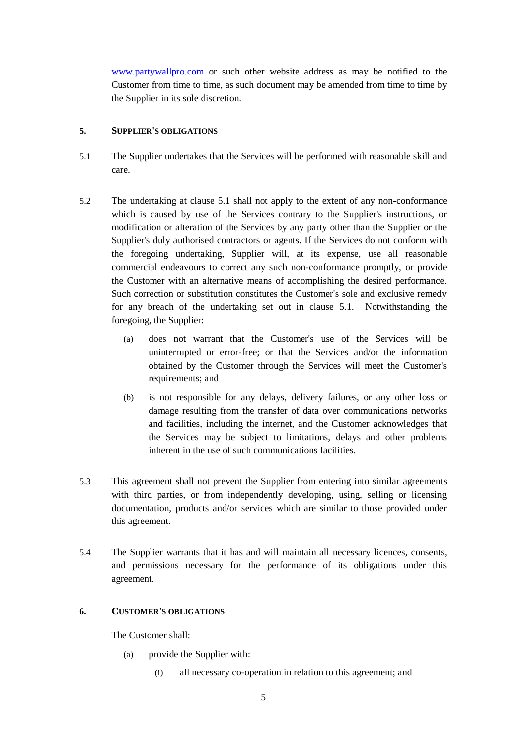[www.partywallpro.com](http://www.partywallpro.com/) or such other website address as may be notified to the Customer from time to time, as such document may be amended from time to time by the Supplier in its sole discretion.

# <span id="page-4-0"></span>**5. SUPPLIER'S OBLIGATIONS**

- 5.1 The Supplier undertakes that the Services will be performed with reasonable skill and care.
- 5.2 The undertaking at clause [5.1](#page-4-0) shall not apply to the extent of any non-conformance which is caused by use of the Services contrary to the Supplier's instructions, or modification or alteration of the Services by any party other than the Supplier or the Supplier's duly authorised contractors or agents. If the Services do not conform with the foregoing undertaking, Supplier will, at its expense, use all reasonable commercial endeavours to correct any such non-conformance promptly, or provide the Customer with an alternative means of accomplishing the desired performance. Such correction or substitution constitutes the Customer's sole and exclusive remedy for any breach of the undertaking set out in clause [5.1.](#page-4-0) Notwithstanding the foregoing, the Supplier:
	- (a) does not warrant that the Customer's use of the Services will be uninterrupted or error-free; or that the Services and/or the information obtained by the Customer through the Services will meet the Customer's requirements; and
	- (b) is not responsible for any delays, delivery failures, or any other loss or damage resulting from the transfer of data over communications networks and facilities, including the internet, and the Customer acknowledges that the Services may be subject to limitations, delays and other problems inherent in the use of such communications facilities.
- 5.3 This agreement shall not prevent the Supplier from entering into similar agreements with third parties, or from independently developing, using, selling or licensing documentation, products and/or services which are similar to those provided under this agreement.
- 5.4 The Supplier warrants that it has and will maintain all necessary licences, consents, and permissions necessary for the performance of its obligations under this agreement.

# **6. CUSTOMER'S OBLIGATIONS**

The Customer shall:

- (a) provide the Supplier with:
	- (i) all necessary co-operation in relation to this agreement; and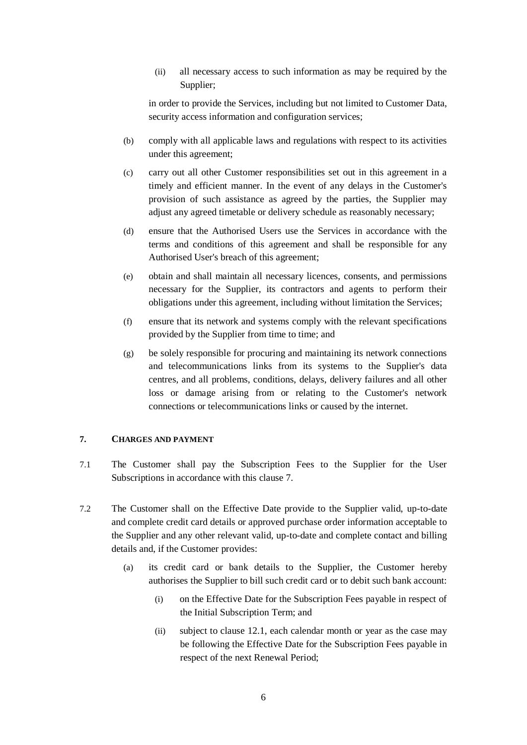(ii) all necessary access to such information as may be required by the Supplier;

in order to provide the Services, including but not limited to Customer Data, security access information and configuration services;

- (b) comply with all applicable laws and regulations with respect to its activities under this agreement;
- (c) carry out all other Customer responsibilities set out in this agreement in a timely and efficient manner. In the event of any delays in the Customer's provision of such assistance as agreed by the parties, the Supplier may adjust any agreed timetable or delivery schedule as reasonably necessary;
- (d) ensure that the Authorised Users use the Services in accordance with the terms and conditions of this agreement and shall be responsible for any Authorised User's breach of this agreement;
- (e) obtain and shall maintain all necessary licences, consents, and permissions necessary for the Supplier, its contractors and agents to perform their obligations under this agreement, including without limitation the Services;
- (f) ensure that its network and systems comply with the relevant specifications provided by the Supplier from time to time; and
- (g) be solely responsible for procuring and maintaining its network connections and telecommunications links from its systems to the Supplier's data centres, and all problems, conditions, delays, delivery failures and all other loss or damage arising from or relating to the Customer's network connections or telecommunications links or caused by the internet.

#### <span id="page-5-1"></span><span id="page-5-0"></span>**7. CHARGES AND PAYMENT**

- 7.1 The Customer shall pay the Subscription Fees to the Supplier for the User Subscriptions in accordance with this clause [7.](#page-5-1)
- 7.2 The Customer shall on the Effective Date provide to the Supplier valid, up-to-date and complete credit card details or approved purchase order information acceptable to the Supplier and any other relevant valid, up-to-date and complete contact and billing details and, if the Customer provides:
	- (a) its credit card or bank details to the Supplier, the Customer hereby authorises the Supplier to bill such credit card or to debit such bank account:
		- (i) on the Effective Date for the Subscription Fees payable in respect of the Initial Subscription Term; and
		- (ii) subject to clause [12.1,](#page-10-0) each calendar month or year as the case may be following the Effective Date for the Subscription Fees payable in respect of the next Renewal Period;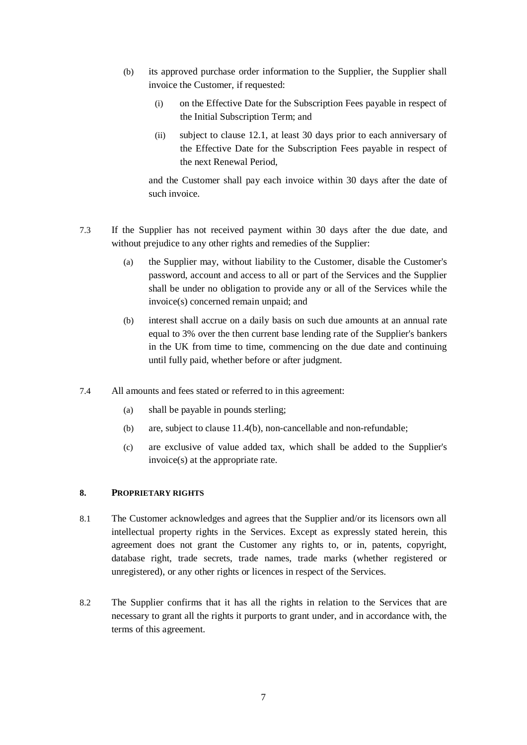- (b) its approved purchase order information to the Supplier, the Supplier shall invoice the Customer, if requested:
	- (i) on the Effective Date for the Subscription Fees payable in respect of the Initial Subscription Term; and
	- (ii) subject to clause [12.1,](#page-10-0) at least 30 days prior to each anniversary of the Effective Date for the Subscription Fees payable in respect of the next Renewal Period,

and the Customer shall pay each invoice within 30 days after the date of such invoice.

- 7.3 If the Supplier has not received payment within 30 days after the due date, and without prejudice to any other rights and remedies of the Supplier:
	- (a) the Supplier may, without liability to the Customer, disable the Customer's password, account and access to all or part of the Services and the Supplier shall be under no obligation to provide any or all of the Services while the invoice(s) concerned remain unpaid; and
	- (b) interest shall accrue on a daily basis on such due amounts at an annual rate equal to 3% over the then current base lending rate of the Supplier's bankers in the UK from time to time, commencing on the due date and continuing until fully paid, whether before or after judgment.
- 7.4 All amounts and fees stated or referred to in this agreement:
	- (a) shall be payable in pounds sterling;
	- (b) are, subject to clause [11.4\(b\),](#page-9-0) non-cancellable and non-refundable;
	- (c) are exclusive of value added tax, which shall be added to the Supplier's invoice(s) at the appropriate rate.

## **8. PROPRIETARY RIGHTS**

- 8.1 The Customer acknowledges and agrees that the Supplier and/or its licensors own all intellectual property rights in the Services. Except as expressly stated herein, this agreement does not grant the Customer any rights to, or in, patents, copyright, database right, trade secrets, trade names, trade marks (whether registered or unregistered), or any other rights or licences in respect of the Services.
- 8.2 The Supplier confirms that it has all the rights in relation to the Services that are necessary to grant all the rights it purports to grant under, and in accordance with, the terms of this agreement.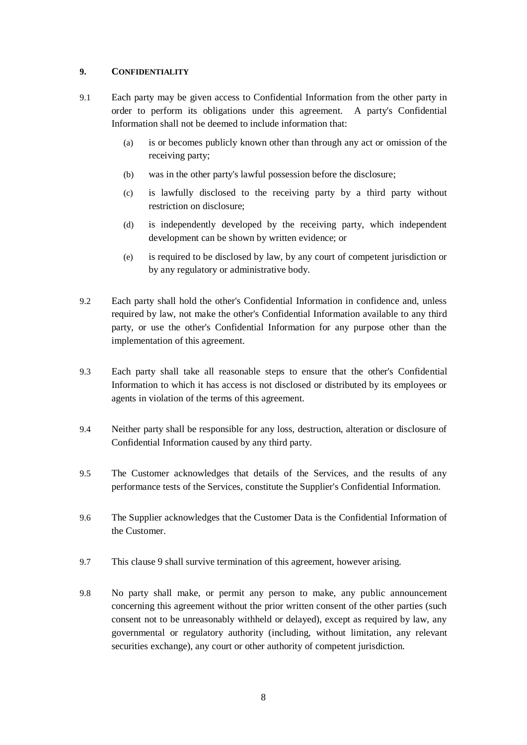# <span id="page-7-1"></span>**9. CONFIDENTIALITY**

- 9.1 Each party may be given access to Confidential Information from the other party in order to perform its obligations under this agreement. A party's Confidential Information shall not be deemed to include information that:
	- (a) is or becomes publicly known other than through any act or omission of the receiving party;
	- (b) was in the other party's lawful possession before the disclosure;
	- (c) is lawfully disclosed to the receiving party by a third party without restriction on disclosure;
	- (d) is independently developed by the receiving party, which independent development can be shown by written evidence; or
	- (e) is required to be disclosed by law, by any court of competent jurisdiction or by any regulatory or administrative body.
- 9.2 Each party shall hold the other's Confidential Information in confidence and, unless required by law, not make the other's Confidential Information available to any third party, or use the other's Confidential Information for any purpose other than the implementation of this agreement.
- 9.3 Each party shall take all reasonable steps to ensure that the other's Confidential Information to which it has access is not disclosed or distributed by its employees or agents in violation of the terms of this agreement.
- 9.4 Neither party shall be responsible for any loss, destruction, alteration or disclosure of Confidential Information caused by any third party.
- <span id="page-7-0"></span>9.5 The Customer acknowledges that details of the Services, and the results of any performance tests of the Services, constitute the Supplier's Confidential Information.
- 9.6 The Supplier acknowledges that the Customer Data is the Confidential Information of the Customer.
- 9.7 This clause [9](#page-7-1) shall survive termination of this agreement, however arising.
- 9.8 No party shall make, or permit any person to make, any public announcement concerning this agreement without the prior written consent of the other parties (such consent not to be unreasonably withheld or delayed), except as required by law, any governmental or regulatory authority (including, without limitation, any relevant securities exchange), any court or other authority of competent jurisdiction.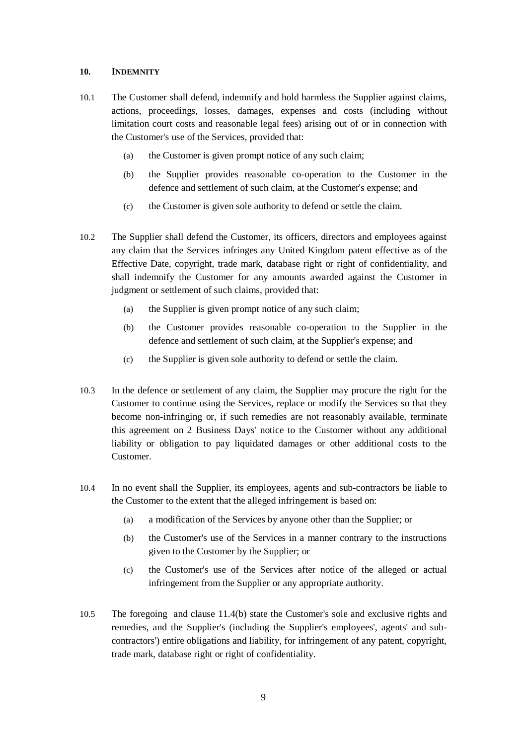## **10. INDEMNITY**

- 10.1 The Customer shall defend, indemnify and hold harmless the Supplier against claims, actions, proceedings, losses, damages, expenses and costs (including without limitation court costs and reasonable legal fees) arising out of or in connection with the Customer's use of the Services, provided that:
	- (a) the Customer is given prompt notice of any such claim;
	- (b) the Supplier provides reasonable co-operation to the Customer in the defence and settlement of such claim, at the Customer's expense; and
	- (c) the Customer is given sole authority to defend or settle the claim.
- <span id="page-8-0"></span>10.2 The Supplier shall defend the Customer, its officers, directors and employees against any claim that the Services infringes any United Kingdom patent effective as of the Effective Date, copyright, trade mark, database right or right of confidentiality, and shall indemnify the Customer for any amounts awarded against the Customer in judgment or settlement of such claims, provided that:
	- (a) the Supplier is given prompt notice of any such claim;
	- (b) the Customer provides reasonable co-operation to the Supplier in the defence and settlement of such claim, at the Supplier's expense; and
	- (c) the Supplier is given sole authority to defend or settle the claim.
- 10.3 In the defence or settlement of any claim, the Supplier may procure the right for the Customer to continue using the Services, replace or modify the Services so that they become non-infringing or, if such remedies are not reasonably available, terminate this agreement on 2 Business Days' notice to the Customer without any additional liability or obligation to pay liquidated damages or other additional costs to the Customer.
- 10.4 In no event shall the Supplier, its employees, agents and sub-contractors be liable to the Customer to the extent that the alleged infringement is based on:
	- (a) a modification of the Services by anyone other than the Supplier; or
	- (b) the Customer's use of the Services in a manner contrary to the instructions given to the Customer by the Supplier; or
	- (c) the Customer's use of the Services after notice of the alleged or actual infringement from the Supplier or any appropriate authority.
- 10.5 The foregoing and clause [11.4\(b\)](#page-9-0) state the Customer's sole and exclusive rights and remedies, and the Supplier's (including the Supplier's employees', agents' and subcontractors') entire obligations and liability, for infringement of any patent, copyright, trade mark, database right or right of confidentiality.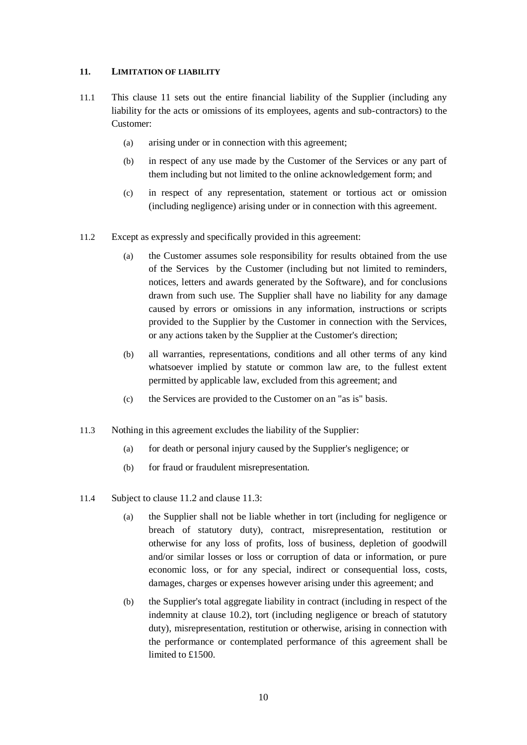# <span id="page-9-1"></span>**11. LIMITATION OF LIABILITY**

- 11.1 This clause [11](#page-9-1) sets out the entire financial liability of the Supplier (including any liability for the acts or omissions of its employees, agents and sub-contractors) to the Customer:
	- (a) arising under or in connection with this agreement;
	- (b) in respect of any use made by the Customer of the Services or any part of them including but not limited to the online acknowledgement form; and
	- (c) in respect of any representation, statement or tortious act or omission (including negligence) arising under or in connection with this agreement.
- <span id="page-9-2"></span>11.2 Except as expressly and specifically provided in this agreement:
	- (a) the Customer assumes sole responsibility for results obtained from the use of the Services by the Customer (including but not limited to reminders, notices, letters and awards generated by the Software), and for conclusions drawn from such use. The Supplier shall have no liability for any damage caused by errors or omissions in any information, instructions or scripts provided to the Supplier by the Customer in connection with the Services, or any actions taken by the Supplier at the Customer's direction;
	- (b) all warranties, representations, conditions and all other terms of any kind whatsoever implied by statute or common law are, to the fullest extent permitted by applicable law, excluded from this agreement; and
	- (c) the Services are provided to the Customer on an "as is" basis.
- <span id="page-9-3"></span>11.3 Nothing in this agreement excludes the liability of the Supplier:
	- (a) for death or personal injury caused by the Supplier's negligence; or
	- (b) for fraud or fraudulent misrepresentation.
- <span id="page-9-0"></span>11.4 Subject to clause [11.2](#page-9-2) and clause [11.3:](#page-9-3)
	- (a) the Supplier shall not be liable whether in tort (including for negligence or breach of statutory duty), contract, misrepresentation, restitution or otherwise for any loss of profits, loss of business, depletion of goodwill and/or similar losses or loss or corruption of data or information, or pure economic loss, or for any special, indirect or consequential loss, costs, damages, charges or expenses however arising under this agreement; and
	- (b) the Supplier's total aggregate liability in contract (including in respect of the indemnity at clause [10.2\)](#page-8-0), tort (including negligence or breach of statutory duty), misrepresentation, restitution or otherwise, arising in connection with the performance or contemplated performance of this agreement shall be limited to £1500.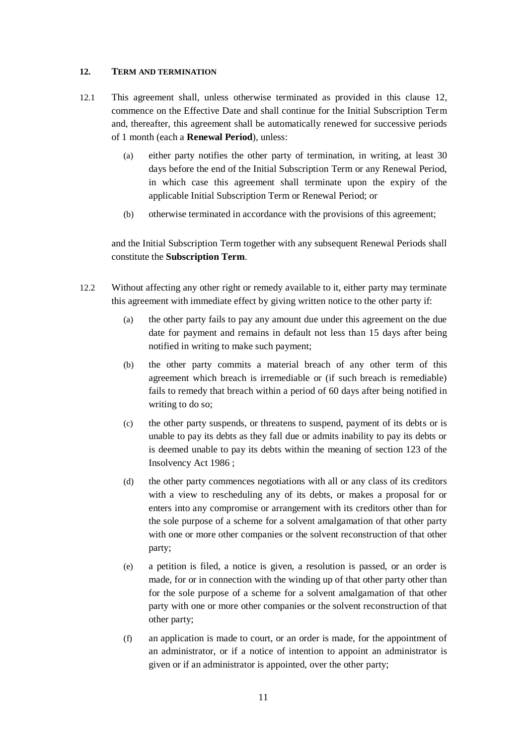## <span id="page-10-1"></span><span id="page-10-0"></span>**12. TERM AND TERMINATION**

- 12.1 This agreement shall, unless otherwise terminated as provided in this clause [12,](#page-10-1) commence on the Effective Date and shall continue for the Initial Subscription Term and, thereafter, this agreement shall be automatically renewed for successive periods of 1 month (each a **Renewal Period**), unless:
	- (a) either party notifies the other party of termination, in writing, at least 30 days before the end of the Initial Subscription Term or any Renewal Period, in which case this agreement shall terminate upon the expiry of the applicable Initial Subscription Term or Renewal Period; or
	- (b) otherwise terminated in accordance with the provisions of this agreement;

and the Initial Subscription Term together with any subsequent Renewal Periods shall constitute the **Subscription Term**.

- <span id="page-10-2"></span>12.2 Without affecting any other right or remedy available to it, either party may terminate this agreement with immediate effect by giving written notice to the other party if:
	- (a) the other party fails to pay any amount due under this agreement on the due date for payment and remains in default not less than 15 days after being notified in writing to make such payment;
	- (b) the other party commits a material breach of any other term of this agreement which breach is irremediable or (if such breach is remediable) fails to remedy that breach within a period of 60 days after being notified in writing to do so;
	- (c) the other party suspends, or threatens to suspend, payment of its debts or is unable to pay its debts as they fall due or admits inability to pay its debts or is deemed unable to pay its debts within the meaning of section 123 of the Insolvency Act 1986 ;
	- (d) the other party commences negotiations with all or any class of its creditors with a view to rescheduling any of its debts, or makes a proposal for or enters into any compromise or arrangement with its creditors other than for the sole purpose of a scheme for a solvent amalgamation of that other party with one or more other companies or the solvent reconstruction of that other party;
	- (e) a petition is filed, a notice is given, a resolution is passed, or an order is made, for or in connection with the winding up of that other party other than for the sole purpose of a scheme for a solvent amalgamation of that other party with one or more other companies or the solvent reconstruction of that other party;
	- (f) an application is made to court, or an order is made, for the appointment of an administrator, or if a notice of intention to appoint an administrator is given or if an administrator is appointed, over the other party;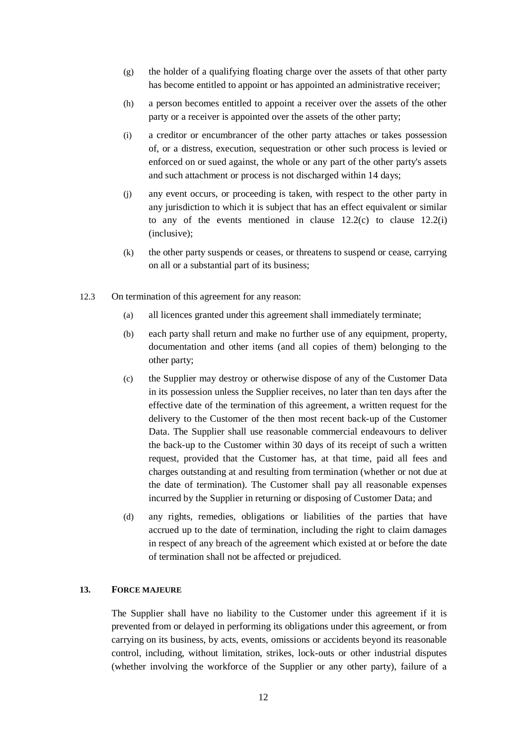- (g) the holder of a qualifying floating charge over the assets of that other party has become entitled to appoint or has appointed an administrative receiver;
- (h) a person becomes entitled to appoint a receiver over the assets of the other party or a receiver is appointed over the assets of the other party;
- <span id="page-11-0"></span>(i) a creditor or encumbrancer of the other party attaches or takes possession of, or a distress, execution, sequestration or other such process is levied or enforced on or sued against, the whole or any part of the other party's assets and such attachment or process is not discharged within 14 days;
- (j) any event occurs, or proceeding is taken, with respect to the other party in any jurisdiction to which it is subject that has an effect equivalent or similar to any of the events mentioned in clause  $12.2(c)$  to clause  $12.2(i)$ (inclusive);
- (k) the other party suspends or ceases, or threatens to suspend or cease, carrying on all or a substantial part of its business;
- 12.3 On termination of this agreement for any reason:
	- (a) all licences granted under this agreement shall immediately terminate;
	- (b) each party shall return and make no further use of any equipment, property, documentation and other items (and all copies of them) belonging to the other party;
	- (c) the Supplier may destroy or otherwise dispose of any of the Customer Data in its possession unless the Supplier receives, no later than ten days after the effective date of the termination of this agreement, a written request for the delivery to the Customer of the then most recent back-up of the Customer Data. The Supplier shall use reasonable commercial endeavours to deliver the back-up to the Customer within 30 days of its receipt of such a written request, provided that the Customer has, at that time, paid all fees and charges outstanding at and resulting from termination (whether or not due at the date of termination). The Customer shall pay all reasonable expenses incurred by the Supplier in returning or disposing of Customer Data; and
	- (d) any rights, remedies, obligations or liabilities of the parties that have accrued up to the date of termination, including the right to claim damages in respect of any breach of the agreement which existed at or before the date of termination shall not be affected or prejudiced.

#### **13. FORCE MAJEURE**

The Supplier shall have no liability to the Customer under this agreement if it is prevented from or delayed in performing its obligations under this agreement, or from carrying on its business, by acts, events, omissions or accidents beyond its reasonable control, including, without limitation, strikes, lock-outs or other industrial disputes (whether involving the workforce of the Supplier or any other party), failure of a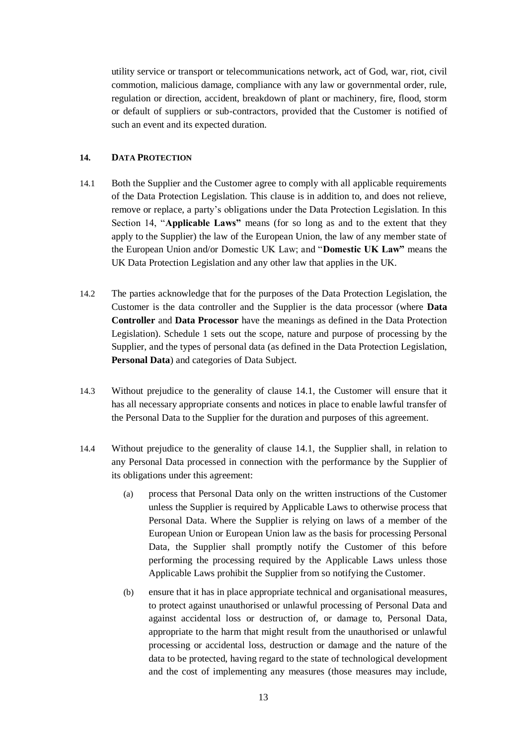utility service or transport or telecommunications network, act of God, war, riot, civil commotion, malicious damage, compliance with any law or governmental order, rule, regulation or direction, accident, breakdown of plant or machinery, fire, flood, storm or default of suppliers or sub-contractors, provided that the Customer is notified of such an event and its expected duration.

# <span id="page-12-0"></span>**14. DATA PROTECTION**

- 14.1 Both the Supplier and the Customer agree to comply with all applicable requirements of the Data Protection Legislation. This clause is in addition to, and does not relieve, remove or replace, a party's obligations under the Data Protection Legislation. In this Section 14, "**Applicable Laws"** means (for so long as and to the extent that they apply to the Supplier) the law of the European Union, the law of any member state of the European Union and/or Domestic UK Law; and "**Domestic UK Law"** means the UK Data Protection Legislation and any other law that applies in the UK.
- 14.2 The parties acknowledge that for the purposes of the Data Protection Legislation, the Customer is the data controller and the Supplier is the data processor (where **Data Controller** and **Data Processor** have the meanings as defined in the Data Protection Legislation). Schedule 1 sets out the scope, nature and purpose of processing by the Supplier, and the types of personal data (as defined in the Data Protection Legislation, **Personal Data**) and categories of Data Subject.
- 14.3 Without prejudice to the generality of clause [14.1,](#page-12-0) the Customer will ensure that it has all necessary appropriate consents and notices in place to enable lawful transfer of the Personal Data to the Supplier for the duration and purposes of this agreement.
- 14.4 Without prejudice to the generality of clause [14.1,](#page-12-0) the Supplier shall, in relation to any Personal Data processed in connection with the performance by the Supplier of its obligations under this agreement:
	- (a) process that Personal Data only on the written instructions of the Customer unless the Supplier is required by Applicable Laws to otherwise process that Personal Data. Where the Supplier is relying on laws of a member of the European Union or European Union law as the basis for processing Personal Data, the Supplier shall promptly notify the Customer of this before performing the processing required by the Applicable Laws unless those Applicable Laws prohibit the Supplier from so notifying the Customer.
	- (b) ensure that it has in place appropriate technical and organisational measures, to protect against unauthorised or unlawful processing of Personal Data and against accidental loss or destruction of, or damage to, Personal Data, appropriate to the harm that might result from the unauthorised or unlawful processing or accidental loss, destruction or damage and the nature of the data to be protected, having regard to the state of technological development and the cost of implementing any measures (those measures may include,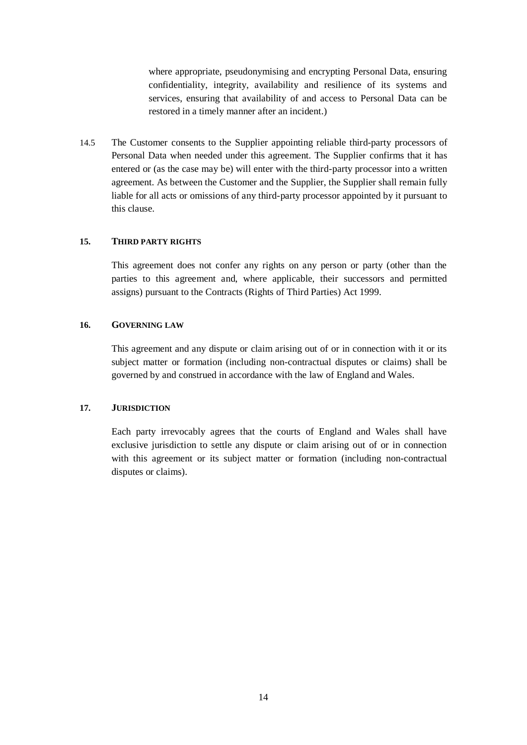where appropriate, pseudonymising and encrypting Personal Data, ensuring confidentiality, integrity, availability and resilience of its systems and services, ensuring that availability of and access to Personal Data can be restored in a timely manner after an incident.)

14.5 The Customer consents to the Supplier appointing reliable third-party processors of Personal Data when needed under this agreement. The Supplier confirms that it has entered or (as the case may be) will enter with the third-party processor into a written agreement. As between the Customer and the Supplier, the Supplier shall remain fully liable for all acts or omissions of any third-party processor appointed by it pursuant to this clause.

#### **15. THIRD PARTY RIGHTS**

This agreement does not confer any rights on any person or party (other than the parties to this agreement and, where applicable, their successors and permitted assigns) pursuant to the Contracts (Rights of Third Parties) Act 1999.

## **16. GOVERNING LAW**

This agreement and any dispute or claim arising out of or in connection with it or its subject matter or formation (including non-contractual disputes or claims) shall be governed by and construed in accordance with the law of England and Wales.

#### **17. JURISDICTION**

Each party irrevocably agrees that the courts of England and Wales shall have exclusive jurisdiction to settle any dispute or claim arising out of or in connection with this agreement or its subject matter or formation (including non-contractual disputes or claims).